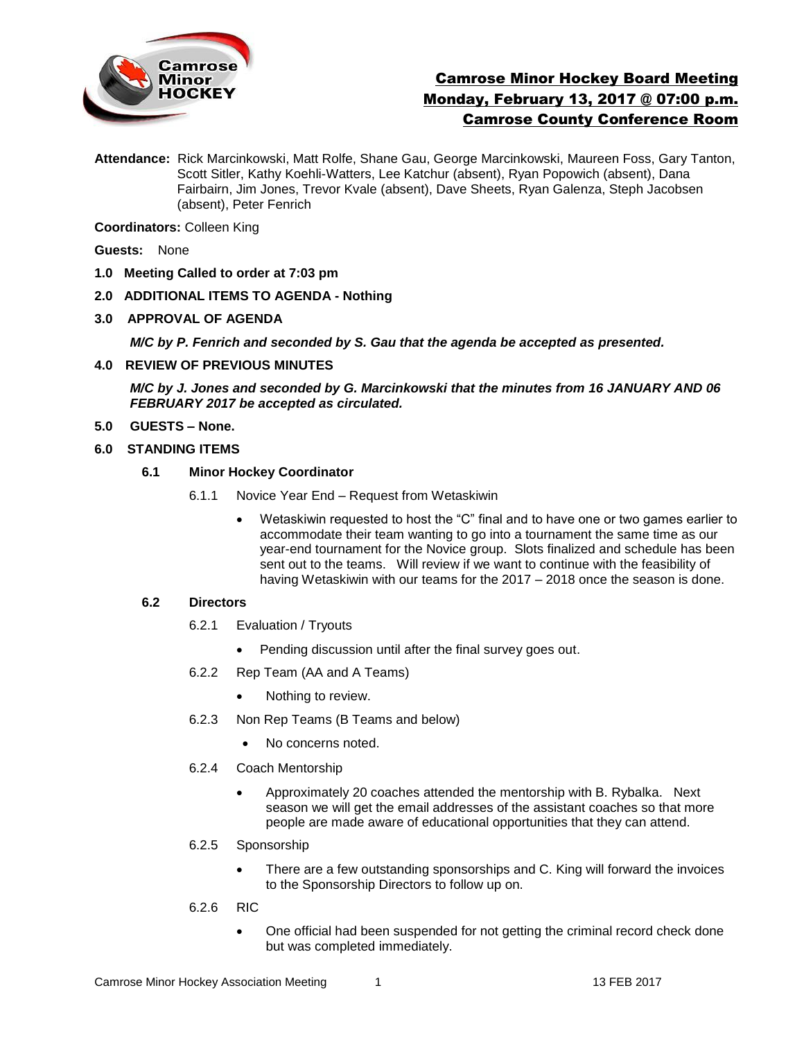

# Camrose Minor Hockey Board Meeting Monday, February 13, 2017 @ 07:00 p.m. Camrose County Conference Room

**Attendance:** Rick Marcinkowski, Matt Rolfe, Shane Gau, George Marcinkowski, Maureen Foss, Gary Tanton, Scott Sitler, Kathy Koehli-Watters, Lee Katchur (absent), Ryan Popowich (absent), Dana Fairbairn, Jim Jones, Trevor Kvale (absent), Dave Sheets, Ryan Galenza, Steph Jacobsen (absent), Peter Fenrich

**Coordinators:** Colleen King

**Guests:** None

- **1.0 Meeting Called to order at 7:03 pm**
- **2.0 ADDITIONAL ITEMS TO AGENDA - Nothing**
- **3.0 APPROVAL OF AGENDA**

*M/C by P. Fenrich and seconded by S. Gau that the agenda be accepted as presented.* 

**4.0 REVIEW OF PREVIOUS MINUTES**

*M/C by J. Jones and seconded by G. Marcinkowski that the minutes from 16 JANUARY AND 06 FEBRUARY 2017 be accepted as circulated.*

**5.0 GUESTS – None.** 

### **6.0 STANDING ITEMS**

- **6.1 Minor Hockey Coordinator** 
	- 6.1.1 Novice Year End Request from Wetaskiwin
		- Wetaskiwin requested to host the "C" final and to have one or two games earlier to accommodate their team wanting to go into a tournament the same time as our year-end tournament for the Novice group. Slots finalized and schedule has been sent out to the teams. Will review if we want to continue with the feasibility of having Wetaskiwin with our teams for the 2017 – 2018 once the season is done.

### **6.2 Directors**

- 6.2.1 Evaluation / Tryouts
	- Pending discussion until after the final survey goes out.
- 6.2.2 Rep Team (AA and A Teams)
	- Nothing to review.
- 6.2.3 Non Rep Teams (B Teams and below)
	- No concerns noted.
- 6.2.4 Coach Mentorship
	- Approximately 20 coaches attended the mentorship with B. Rybalka. Next season we will get the email addresses of the assistant coaches so that more people are made aware of educational opportunities that they can attend.
- 6.2.5 Sponsorship
	- There are a few outstanding sponsorships and C. King will forward the invoices to the Sponsorship Directors to follow up on.
- 6.2.6 RIC
	- One official had been suspended for not getting the criminal record check done but was completed immediately.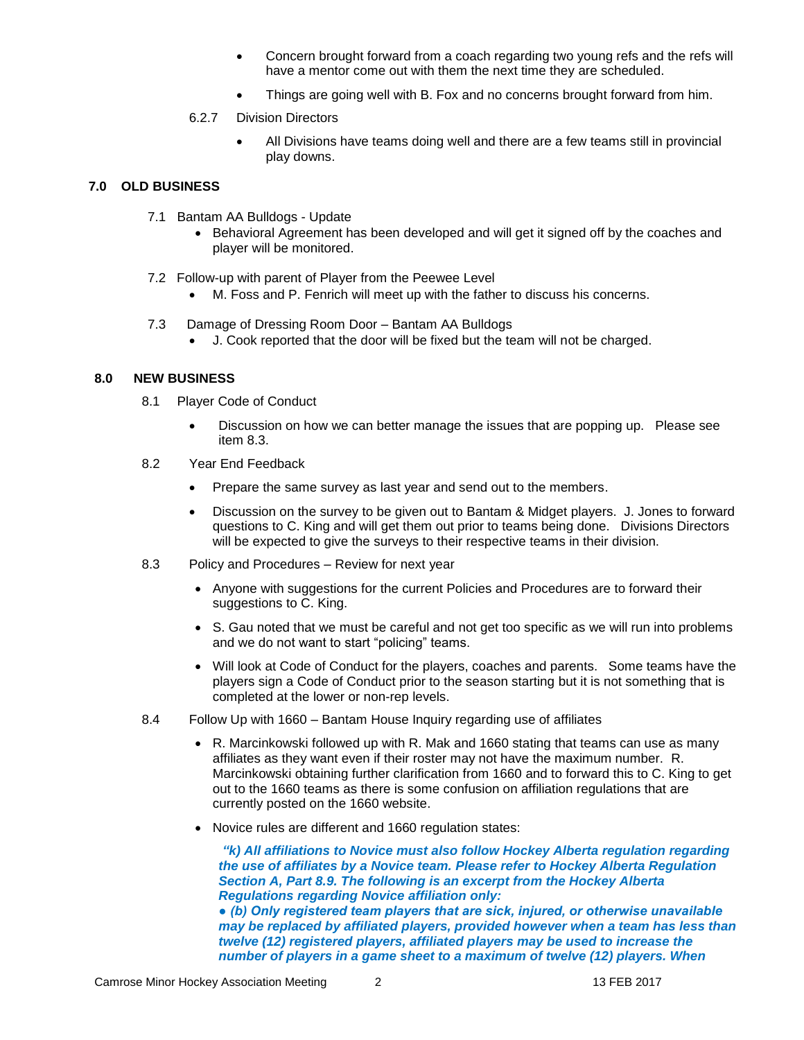- Concern brought forward from a coach regarding two young refs and the refs will have a mentor come out with them the next time they are scheduled.
- Things are going well with B. Fox and no concerns brought forward from him.

#### 6.2.7 Division Directors

 All Divisions have teams doing well and there are a few teams still in provincial play downs.

## **7.0 OLD BUSINESS**

- 7.1 Bantam AA Bulldogs Update
	- Behavioral Agreement has been developed and will get it signed off by the coaches and player will be monitored.
- 7.2 Follow-up with parent of Player from the Peewee Level
	- M. Foss and P. Fenrich will meet up with the father to discuss his concerns.
- 7.3 Damage of Dressing Room Door Bantam AA Bulldogs
	- J. Cook reported that the door will be fixed but the team will not be charged.

## **8.0 NEW BUSINESS**

- 8.1 Player Code of Conduct
	- Discussion on how we can better manage the issues that are popping up. Please see item 8.3.
- 8.2 Year End Feedback
	- Prepare the same survey as last year and send out to the members.
	- Discussion on the survey to be given out to Bantam & Midget players. J. Jones to forward questions to C. King and will get them out prior to teams being done. Divisions Directors will be expected to give the surveys to their respective teams in their division.
- 8.3 Policy and Procedures Review for next year
	- Anyone with suggestions for the current Policies and Procedures are to forward their suggestions to C. King.
	- S. Gau noted that we must be careful and not get too specific as we will run into problems and we do not want to start "policing" teams.
	- Will look at Code of Conduct for the players, coaches and parents. Some teams have the players sign a Code of Conduct prior to the season starting but it is not something that is completed at the lower or non-rep levels.
- 8.4 Follow Up with 1660 Bantam House Inquiry regarding use of affiliates
	- R. Marcinkowski followed up with R. Mak and 1660 stating that teams can use as many affiliates as they want even if their roster may not have the maximum number. R. Marcinkowski obtaining further clarification from 1660 and to forward this to C. King to get out to the 1660 teams as there is some confusion on affiliation regulations that are currently posted on the 1660 website.
	- Novice rules are different and 1660 regulation states:

*"k) All affiliations to Novice must also follow Hockey Alberta regulation regarding the use of affiliates by a Novice team. Please refer to Hockey Alberta Regulation Section A, Part 8.9. The following is an excerpt from the Hockey Alberta Regulations regarding Novice affiliation only:*

*● (b) Only registered team players that are sick, injured, or otherwise unavailable may be replaced by affiliated players, provided however when a team has less than twelve (12) registered players, affiliated players may be used to increase the number of players in a game sheet to a maximum of twelve (12) players. When*